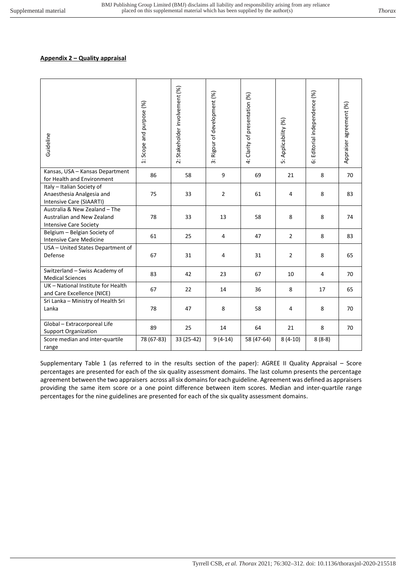## **Appendix 2 – Quality appraisal**

| Guideline                                                                                    | 1: Scope and purpose (%) | 2: Stakeholder involvement (%) | 3: Rigour of development (%) | 4: Clarity of presentation (%) | 5: Applicability (%) | Editorial independence (%)<br>ت | Appraiser agreement (%) |
|----------------------------------------------------------------------------------------------|--------------------------|--------------------------------|------------------------------|--------------------------------|----------------------|---------------------------------|-------------------------|
| Kansas, USA - Kansas Department<br>for Health and Environment                                | 86                       | 58                             | 9                            | 69                             | 21                   | 8                               | 70                      |
| Italy - Italian Society of<br>Anaesthesia Analgesia and<br>Intensive Care (SIAARTI)          | 75                       | 33                             | $\overline{2}$               | 61                             | 4                    | 8                               | 83                      |
| Australia & New Zealand - The<br>Australian and New Zealand<br><b>Intensive Care Society</b> | 78                       | 33                             | 13                           | 58                             | 8                    | 8                               | 74                      |
| Belgium - Belgian Society of<br><b>Intensive Care Medicine</b>                               | 61                       | 25                             | 4                            | 47                             | $\overline{2}$       | 8                               | 83                      |
| USA - United States Department of<br>Defense                                                 | 67                       | 31                             | 4                            | 31                             | 2                    | 8                               | 65                      |
| Switzerland - Swiss Academy of<br><b>Medical Sciences</b>                                    | 83                       | 42                             | 23                           | 67                             | 10                   | 4                               | 70                      |
| UK - National Institute for Health<br>and Care Excellence (NICE)                             | 67                       | 22                             | 14                           | 36                             | 8                    | 17                              | 65                      |
| Sri Lanka - Ministry of Health Sri<br>Lanka                                                  | 78                       | 47                             | 8                            | 58                             | 4                    | 8                               | 70                      |
| Global - Extracorporeal Life<br><b>Support Organization</b>                                  | 89                       | 25                             | 14                           | 64                             | 21                   | 8                               | 70                      |
| Score median and inter-quartile<br>range                                                     | 78 (67-83)               | 33 (25-42)                     | $9(4-14)$                    | 58 (47-64)                     | $8(4-10)$            | $8(8-8)$                        |                         |

Supplementary Table 1 (as referred to in the results section of the paper): AGREE II Quality Appraisal – Score percentages are presented for each of the six quality assessment domains. The last column presents the percentage agreement between the two appraisers across all six domains for each guideline. Agreement was defined as appraisers providing the same item score or a one point difference between item scores. Median and inter-quartile range percentages for the nine guidelines are presented for each of the six quality assessment domains.